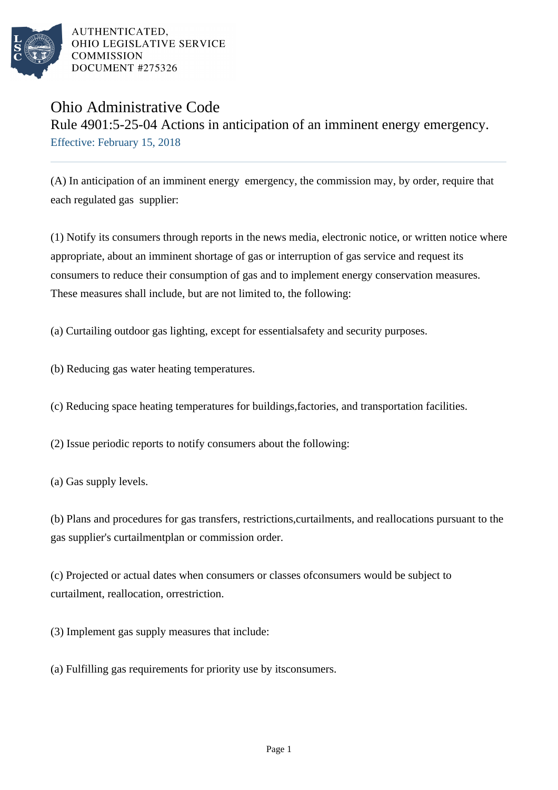

AUTHENTICATED. OHIO LEGISLATIVE SERVICE **COMMISSION** DOCUMENT #275326

## Ohio Administrative Code

Rule 4901:5-25-04 Actions in anticipation of an imminent energy emergency. Effective: February 15, 2018

(A) In anticipation of an imminent energy emergency, the commission may, by order, require that each regulated gas supplier:

(1) Notify its consumers through reports in the news media, electronic notice, or written notice where appropriate, about an imminent shortage of gas or interruption of gas service and request its consumers to reduce their consumption of gas and to implement energy conservation measures. These measures shall include, but are not limited to, the following:

(a) Curtailing outdoor gas lighting, except for essential safety and security purposes.

(b) Reducing gas water heating temperatures.

(c) Reducing space heating temperatures for buildings, factories, and transportation facilities.

(2) Issue periodic reports to notify consumers about the following:

(a) Gas supply levels.

(b) Plans and procedures for gas transfers, restrictions, curtailments, and reallocations pursuant to the gas supplier's curtailment plan or commission order.

(c) Projected or actual dates when consumers or classes of consumers would be subject to curtailment, reallocation, or restriction.

(3) Implement gas supply measures that include:

(a) Fulfilling gas requirements for priority use by its consumers.